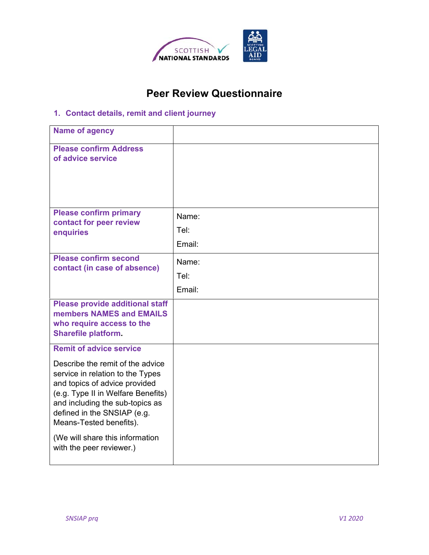

## **Peer Review Questionnaire**

## **1. Contact details, remit and client journey**

| <b>Name of agency</b>                                                                                                                                                                                                                    |        |
|------------------------------------------------------------------------------------------------------------------------------------------------------------------------------------------------------------------------------------------|--------|
| <b>Please confirm Address</b><br>of advice service                                                                                                                                                                                       |        |
|                                                                                                                                                                                                                                          |        |
| <b>Please confirm primary</b><br>contact for peer review<br>enquiries                                                                                                                                                                    | Name:  |
|                                                                                                                                                                                                                                          | Tel:   |
|                                                                                                                                                                                                                                          | Email: |
| <b>Please confirm second</b><br>contact (in case of absence)                                                                                                                                                                             | Name:  |
|                                                                                                                                                                                                                                          | Tel:   |
|                                                                                                                                                                                                                                          | Email: |
| <b>Please provide additional staff</b><br>members NAMES and EMAILS<br>who require access to the<br><b>Sharefile platform.</b>                                                                                                            |        |
| <b>Remit of advice service</b>                                                                                                                                                                                                           |        |
| Describe the remit of the advice<br>service in relation to the Types<br>and topics of advice provided<br>(e.g. Type II in Welfare Benefits)<br>and including the sub-topics as<br>defined in the SNSIAP (e.g.<br>Means-Tested benefits). |        |
| (We will share this information<br>with the peer reviewer.)                                                                                                                                                                              |        |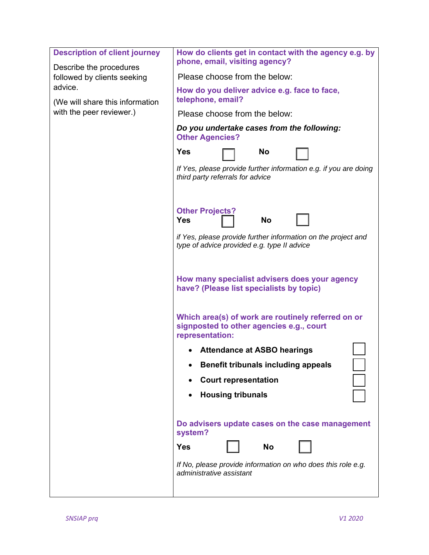| <b>Description of client journey</b><br>Describe the procedures        | How do clients get in contact with the agency e.g. by<br>phone, email, visiting agency?                           |  |  |
|------------------------------------------------------------------------|-------------------------------------------------------------------------------------------------------------------|--|--|
| followed by clients seeking                                            | Please choose from the below:                                                                                     |  |  |
| advice.<br>(We will share this information<br>with the peer reviewer.) | How do you deliver advice e.g. face to face,<br>telephone, email?                                                 |  |  |
|                                                                        | Please choose from the below:                                                                                     |  |  |
|                                                                        | Do you undertake cases from the following:<br><b>Other Agencies?</b>                                              |  |  |
|                                                                        | <b>Yes</b><br><b>No</b>                                                                                           |  |  |
|                                                                        | If Yes, please provide further information e.g. if you are doing<br>third party referrals for advice              |  |  |
|                                                                        | <b>Other Projects?</b><br><b>Yes</b><br><b>No</b>                                                                 |  |  |
|                                                                        |                                                                                                                   |  |  |
|                                                                        | if Yes, please provide further information on the project and<br>type of advice provided e.g. type II advice      |  |  |
|                                                                        | How many specialist advisers does your agency<br>have? (Please list specialists by topic)                         |  |  |
|                                                                        | Which area(s) of work are routinely referred on or<br>signposted to other agencies e.g., court<br>representation: |  |  |
|                                                                        | <b>Attendance at ASBO hearings</b>                                                                                |  |  |
|                                                                        | <b>Benefit tribunals including appeals</b>                                                                        |  |  |
|                                                                        | <b>Court representation</b>                                                                                       |  |  |
|                                                                        | <b>Housing tribunals</b>                                                                                          |  |  |
|                                                                        |                                                                                                                   |  |  |
|                                                                        | Do advisers update cases on the case management<br>system?                                                        |  |  |
|                                                                        | <b>Yes</b><br><b>No</b>                                                                                           |  |  |
|                                                                        | If No, please provide information on who does this role e.g.<br>administrative assistant                          |  |  |
|                                                                        |                                                                                                                   |  |  |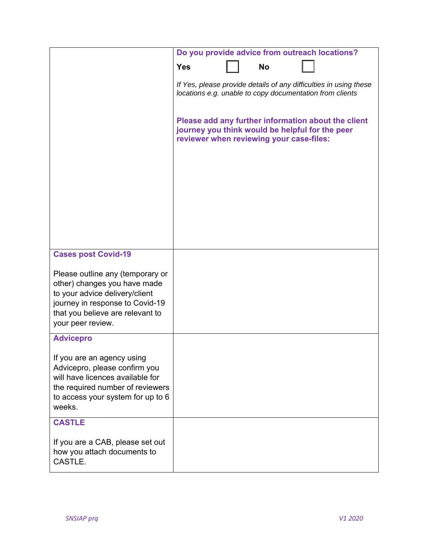|                                                                                                                                                                                                | Do you provide advice from outreach locations?                                                                                |  |           |                                                                                                        |
|------------------------------------------------------------------------------------------------------------------------------------------------------------------------------------------------|-------------------------------------------------------------------------------------------------------------------------------|--|-----------|--------------------------------------------------------------------------------------------------------|
|                                                                                                                                                                                                | <b>Yes</b>                                                                                                                    |  | <b>No</b> |                                                                                                        |
|                                                                                                                                                                                                | If Yes, please provide details of any difficulties in using these<br>locations e.g. unable to copy documentation from clients |  |           |                                                                                                        |
|                                                                                                                                                                                                | reviewer when reviewing your case-files:                                                                                      |  |           | Please add any further information about the client<br>journey you think would be helpful for the peer |
|                                                                                                                                                                                                |                                                                                                                               |  |           |                                                                                                        |
|                                                                                                                                                                                                |                                                                                                                               |  |           |                                                                                                        |
| <b>Cases post Covid-19</b>                                                                                                                                                                     |                                                                                                                               |  |           |                                                                                                        |
| Please outline any (temporary or<br>other) changes you have made<br>to your advice delivery/client<br>journey in response to Covid-19<br>that you believe are relevant to<br>your peer review. |                                                                                                                               |  |           |                                                                                                        |
| <b>Advicepro</b>                                                                                                                                                                               |                                                                                                                               |  |           |                                                                                                        |
| If you are an agency using<br>Advicepro, please confirm you<br>will have licences available for<br>the required number of reviewers<br>to access your system for up to 6<br>weeks.             |                                                                                                                               |  |           |                                                                                                        |
| <b>CASTLE</b>                                                                                                                                                                                  |                                                                                                                               |  |           |                                                                                                        |
| If you are a CAB, please set out<br>how you attach documents to<br>CASTLE.                                                                                                                     |                                                                                                                               |  |           |                                                                                                        |